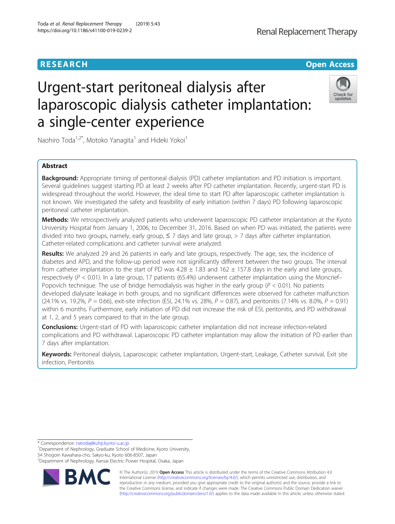# Urgent-start peritoneal dialysis after laparoscopic dialysis catheter implantation: a single-center experience

Naohiro Toda<sup>1,2\*</sup>, Motoko Yanagita<sup>1</sup> and Hideki Yokoi<sup>1</sup>

# Abstract

Background: Appropriate timing of peritoneal dialysis (PD) catheter implantation and PD initiation is important. Several guidelines suggest starting PD at least 2 weeks after PD catheter implantation. Recently, urgent-start PD is widespread throughout the world. However, the ideal time to start PD after laparoscopic catheter implantation is not known. We investigated the safety and feasibility of early initiation (within 7 days) PD following laparoscopic peritoneal catheter implantation.

Methods: We retrospectively analyzed patients who underwent laparoscopic PD catheter implantation at the Kyoto University Hospital from January 1, 2006, to December 31, 2016. Based on when PD was initiated, the patients were divided into two groups, namely, early group,  $\leq$  7 days and late group,  $>$  7 days after catheter implantation. Catheter-related complications and catheter survival were analyzed.

Results: We analyzed 29 and 26 patients in early and late groups, respectively. The age, sex, the incidence of diabetes and APD, and the follow-up period were not significantly different between the two groups. The interval from catheter implantation to the start of PD was  $4.28 \pm 1.83$  and  $162 \pm 157.8$  days in the early and late groups, respectively ( $P < 0.01$ ). In a late group, 17 patients (65.4%) underwent catheter implantation using the Moncrief– Popovich technique. The use of bridge hemodialysis was higher in the early group ( $P < 0.01$ ). No patients developed dialysate leakage in both groups, and no significant differences were observed for catheter malfunction (24.1% vs. 19.2%,  $P = 0.66$ ), exit-site infection (ESI, 24.1% vs. 28%,  $P = 0.87$ ), and peritonitis (7.14% vs. 8.0%,  $P = 0.91$ ) within 6 months. Furthermore, early initiation of PD did not increase the risk of ESI, peritonitis, and PD withdrawal at 1, 2, and 5 years compared to that in the late group.

**Conclusions:** Urgent-start of PD with laparoscopic catheter implantation did not increase infection-related complications and PD withdrawal. Laparoscopic PD catheter implantation may allow the initiation of PD earlier than 7 days after implantation.

Keywords: Peritoneal dialysis, Laparoscopic catheter implantation, Urgent-start, Leakage, Catheter survival, Exit site infection, Peritonitis

\* Correspondence: [natoda@kuhp.kyoto-u.ac.jp](mailto:natoda@kuhp.kyoto-u.ac.jp) <sup>1</sup>

<sup>1</sup>Department of Nephrology, Graduate School of Medicine, Kyoto University, 54 Shogoin Kawahara-cho, Sakyo-ku, Kyoto 606-8507, Japan

2 Department of Nephrology, Kansai Electric Power Hospital, Osaka, Japan



© The Author(s). 2019 **Open Access** This article is distributed under the terms of the Creative Commons Attribution 4.0 International License [\(http://creativecommons.org/licenses/by/4.0/](http://creativecommons.org/licenses/by/4.0/)), which permits unrestricted use, distribution, and reproduction in any medium, provided you give appropriate credit to the original author(s) and the source, provide a link to the Creative Commons license, and indicate if changes were made. The Creative Commons Public Domain Dedication waiver [\(http://creativecommons.org/publicdomain/zero/1.0/](http://creativecommons.org/publicdomain/zero/1.0/)) applies to the data made available in this article, unless otherwise stated.





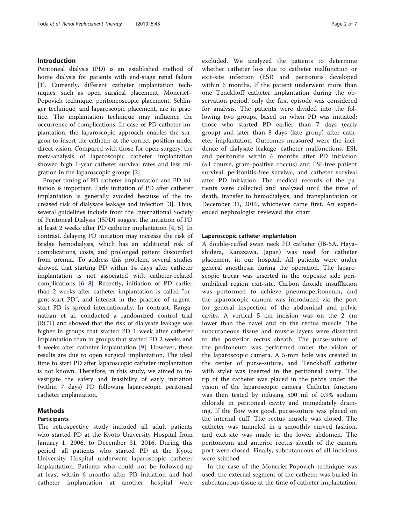# Introduction

Peritoneal dialysis (PD) is an established method of home dialysis for patients with end-stage renal failure [[1\]](#page-6-0). Currently, different catheter implantation techniques, such as open surgical placement, Moncrief– Popovich technique, peritoneoscopic placement, Seldinger technique, and laparoscopic placement, are in practice. The implantation technique may influence the occurrence of complications. In case of PD catheter implantation, the laparoscopic approach enables the surgeon to insert the catheter at the correct position under direct vision. Compared with those for open surgery, the meta-analysis of laparoscopic catheter implantation showed high 1-year catheter survival rates and less migration in the laparoscopic groups [\[2](#page-6-0)].

Proper timing of PD catheter implantation and PD initiation is important. Early initiation of PD after catheter implantation is generally avoided because of the increased risk of dialysate leakage and infection [[3\]](#page-6-0). Thus, several guidelines include from the International Society of Peritoneal Dialysis (ISPD) suggest the initiation of PD at least 2 weeks after PD catheter implantation [[4,](#page-6-0) [5](#page-6-0)]. In contrast, delaying PD initiation may increase the risk of bridge hemodialysis, which has an additional risk of complications, costs, and prolonged patient discomfort from uremia. To address this problem, several studies showed that starting PD within 14 days after catheter implantation is not associated with catheter-related complications [\[6](#page-6-0)–[8\]](#page-6-0). Recently, initiation of PD earlier than 2 weeks after catheter implantation is called "urgent-start PD", and interest in the practice of urgentstart PD is spread internationally. In contrast, Ranganathan et al. conducted a randomized control trial (RCT) and showed that the risk of dialysate leakage was higher in groups that started PD 1 week after catheter implantation than in groups that started PD 2 weeks and 4 weeks after catheter implantation [[9\]](#page-6-0). However, these results are due to open surgical implantation. The ideal time to start PD after laparoscopic catheter implantation is not known. Therefore, in this study, we aimed to investigate the safety and feasibility of early initiation (within 7 days) PD following laparoscopic peritoneal catheter implantation.

# Methods

# Participants

The retrospective study included all adult patients who started PD at the Kyoto University Hospital from January 1, 2006, to December 31, 2016. During this period, all patients who started PD at the Kyoto University Hospital underwent laparoscopic catheter implantation. Patients who could not be followed-up at least within 6 months after PD initiation and had catheter implantation at another hospital were excluded. We analyzed the patients to determine whether catheter loss due to catheter malfunction or exit-site infection (ESI) and peritonitis developed within 6 months. If the patient underwent more than one Tenckhoff catheter implantation during the observation period, only the first episode was considered for analysis. The patients were divided into the following two groups, based on when PD was initiated: those who started PD earlier than 7 days (early group) and later than 8 days (late group) after catheter implantation. Outcomes measured were the incidence of dialysate leakage, catheter malfunctions, ESI, and peritonitis within 6 months after PD initiation (all course, gram-positive coccus) and ESI-free patient survival, peritonitis-free survival, and catheter survival after PD initiation. The medical records of the patients were collected and analyzed until the time of death, transfer to hemodialysis, and transplantation or December 31, 2016, whichever came first. An experienced nephrologist reviewed the chart.

## Laparoscopic catheter implantation

A double-cuffed swan neck PD catheter (JB-5A, Hayashidera, Kanazawa, Japan) was used for catheter placement in our hospital. All patients were under general anesthesia during the operation. The laparoscopic trocar was inserted in the opposite side periumbilical region exit-site. Carbon dioxide insufflation was performed to achieve pneumoperitoneum, and the laparoscopic camera was introduced via the port for general inspection of the abdominal and pelvic cavity. A vertical 5 cm incision was on the 2 cm lower than the navel and on the rectus muscle. The subcutaneous tissue and muscle layers were dissected to the posterior rectus sheath. The purse-suture of the peritoneum was performed under the vision of the laparoscopic camera. A 5-mm hole was created in the center of purse-suture, and Tenckhoff catheter with stylet was inserted in the peritoneal cavity. The tip of the catheter was placed in the pelvis under the vision of the laparoscopic camera. Catheter function was then tested by infusing 500 ml of 0.9% sodium chloride in peritoneal cavity and immediately draining. If the flow was good, purse-suture was placed on the internal cuff. The rectus muscle was closed. The catheter was tunneled in a smoothly curved fashion, and exit-site was made in the lower abdomen. The peritoneum and anterior rectus sheath of the camera port were closed. Finally, subcutaneous of all incisions were stitched.

In the case of the Moncrief-Popovich technique was used, the external segment of the catheter was buried in subcutaneous tissue at the time of catheter implantation.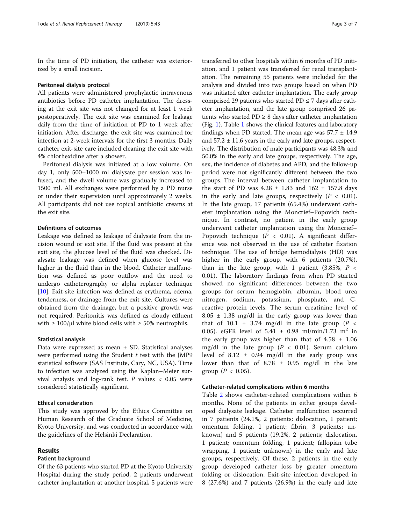In the time of PD initiation, the catheter was exteriorized by a small incision.

#### Peritoneal dialysis protocol

All patients were administered prophylactic intravenous antibiotics before PD catheter implantation. The dressing at the exit site was not changed for at least 1 week postoperatively. The exit site was examined for leakage daily from the time of initiation of PD to 1 week after initiation. After discharge, the exit site was examined for infection at 2-week intervals for the first 3 months. Daily catheter exit-site care included cleaning the exit site with 4% chlorhexidine after a shower.

Peritoneal dialysis was initiated at a low volume. On day 1, only 500–1000 ml dialysate per session was infused, and the dwell volume was gradually increased to 1500 ml. All exchanges were performed by a PD nurse or under their supervision until approximately 2 weeks. All participants did not use topical antibiotic creams at the exit site.

# Definitions of outcomes

Leakage was defined as leakage of dialysate from the incision wound or exit site. If the fluid was present at the exit site, the glucose level of the fluid was checked. Dialysate leakage was defined when glucose level was higher in the fluid than in the blood. Catheter malfunction was defined as poor outflow and the need to undergo catheterography or alpha replacer technique [[10\]](#page-6-0). Exit-site infection was defined as erythema, edema, tenderness, or drainage from the exit site. Cultures were obtained from the drainage, but a positive growth was not required. Peritonitis was defined as cloudy effluent with  $\geq 100/\mu$ l white blood cells with  $\geq 50\%$  neutrophils.

# Statistical analysis

Data were expressed as mean  $\pm$  SD. Statistical analyses were performed using the Student  $t$  test with the JMP9 statistical software (SAS Institute, Cary, NC, USA). Time to infection was analyzed using the Kaplan–Meier survival analysis and log-rank test.  $P$  values < 0.05 were considered statistically significant.

#### Ethical consideration

This study was approved by the Ethics Committee on Human Research of the Graduate School of Medicine, Kyoto University, and was conducted in accordance with the guidelines of the Helsinki Declaration.

# Results

# Patient background

Of the 63 patients who started PD at the Kyoto University Hospital during the study period, 2 patients underwent catheter implantation at another hospital, 5 patients were

transferred to other hospitals within 6 months of PD initiation, and 1 patient was transferred for renal transplantation. The remaining 55 patients were included for the analysis and divided into two groups based on when PD was initiated after catheter implantation. The early group comprised 29 patients who started PD  $\leq$  7 days after catheter implantation, and the late group comprised 26 patients who started  $PD \geq 8$  days after catheter implantation (Fig. [1\)](#page-3-0). Table [1](#page-3-0) shows the clinical features and laboratory findings when PD started. The mean age was  $57.7 \pm 14.9$ and  $57.2 \pm 11.6$  years in the early and late groups, respectively. The distribution of male participants was 48.3% and 50.0% in the early and late groups, respectively. The age, sex, the incidence of diabetes and APD, and the follow-up period were not significantly different between the two groups. The interval between catheter implantation to the start of PD was  $4.28 \pm 1.83$  and  $162 \pm 157.8$  days in the early and late groups, respectively  $(P < 0.01)$ . In the late group, 17 patients (65.4%) underwent catheter implantation using the Moncrief–Popovich technique. In contrast, no patient in the early group underwent catheter implantation using the Moncrief– Popovich technique ( $P < 0.01$ ). A significant difference was not observed in the use of catheter fixation technique. The use of bridge hemodialysis (HD) was higher in the early group, with 6 patients (20.7%), than in the late group, with 1 patient (3.85%,  $P \leq$ 0.01). The laboratory findings from when PD started showed no significant differences between the two groups for serum hemoglobin, albumin, blood urea nitrogen, sodium, potassium, phosphate, and Creactive protein levels. The serum creatinine level of  $8.05 \pm 1.38$  mg/dl in the early group was lower than that of 10.1  $\pm$  3.74 mg/dl in the late group (P < 0.05). eGFR level of  $5.41 \pm 0.98 \text{ ml/min}/1.73 \text{ m}^2$  in the early group was higher than that of  $4.58 \pm 1.06$ mg/dl in the late group ( $P < 0.01$ ). Serum calcium level of  $8.12 \pm 0.94$  mg/dl in the early group was lower than that of  $8.78 \pm 0.95$  mg/dl in the late group ( $P < 0.05$ ).

# Catheter-related complications within 6 months

Table [2](#page-4-0) shows catheter-related complications within 6 months. None of the patients in either groups developed dialysate leakage. Catheter malfunction occurred in 7 patients (24.1%, 2 patients; dislocation, 1 patient; omentum folding, 1 patient; fibrin, 3 patients; unknown) and 5 patients (19.2%, 2 patients; dislocation, 1 patient; omentum folding, 1 patient; fallopian tube wrapping, 1 patient; unknown) in the early and late groups, respectively. Of these, 2 patients in the early group developed catheter loss by greater omentum folding or dislocation. Exit-site infection developed in 8 (27.6%) and 7 patients (26.9%) in the early and late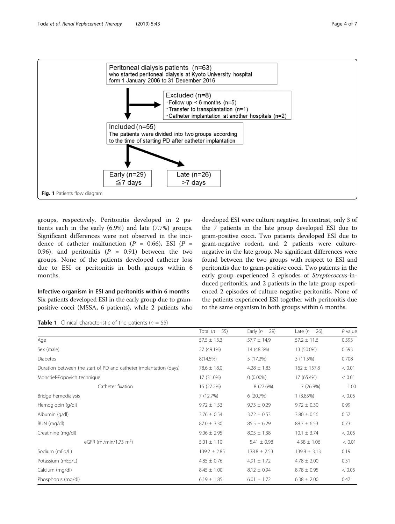<span id="page-3-0"></span>

groups, respectively. Peritonitis developed in 2 patients each in the early (6.9%) and late (7.7%) groups. Significant differences were not observed in the incidence of catheter malfunction ( $P = 0.66$ ), ESI ( $P =$ 0.96), and peritonitis ( $P = 0.91$ ) between the two groups. None of the patients developed catheter loss due to ESI or peritonitis in both groups within 6 months.

# Infective organism in ESI and peritonitis within 6 months

Six patients developed ESI in the early group due to grampositive cocci (MSSA, 6 patients), while 2 patients who developed ESI were culture negative. In contrast, only 3 of the 7 patients in the late group developed ESI due to gram-positive cocci. Two patients developed ESI due to gram-negative rodent, and 2 patients were culturenegative in the late group. No significant differences were found between the two groups with respect to ESI and peritonitis due to gram-positive cocci. Two patients in the early group experienced 2 episodes of Streptococcus-induced peritonitis, and 2 patients in the late group experienced 2 episodes of culture-negative peritonitis. None of the patients experienced ESI together with peritonitis due to the same organism in both groups within 6 months.

**Table 1** Clinical characteristic of the patients ( $n = 55$ )

|                                                                   | Total ( $n = 55$ ) | Early $(n = 29)$ | Late $(n = 26)$  | $P$ value |
|-------------------------------------------------------------------|--------------------|------------------|------------------|-----------|
| Age                                                               | $57.5 \pm 13.3$    | $57.7 \pm 14.9$  | $57.2 \pm 11.6$  | 0.593     |
| Sex (male)                                                        | 27 (49.1%)         | 14 (48.3%)       | 13 (50.0%)       | 0.593     |
| <b>Diabetes</b>                                                   | 8(14.5%)           | 5(17.2%)         | 3 (11.5%)        | 0.708     |
| Duration between the start of PD and catheter implantation (days) | $78.6 \pm 18.0$    | $4.28 \pm 1.83$  | $162 \pm 157.8$  | < 0.01    |
| Moncrief-Popovich technique                                       | 17 (31.0%)         | $0(0.00\%)$      | 17 (65.4%)       | < 0.01    |
| Catheter fixation                                                 | 15 (27.2%)         | 8 (27.6%)        | 7(26.9%)         | 1.00      |
| Bridge hemodialysis                                               | 7 (12.7%)          | 6(20.7%)         | 1(3.85%)         | < 0.05    |
| Hemoglobin (g/dl)                                                 | $9.72 \pm 1.53$    | $9.73 \pm 0.29$  | $9.72 \pm 0.30$  | 0.99      |
| Albumin (g/dl)                                                    | $3.76 \pm 0.54$    | $3.72 \pm 0.53$  | $3.80 \pm 0.56$  | 0.57      |
| BUN (mg/dl)                                                       | $87.0 \pm 3.30$    | $85.5 \pm 6.29$  | $88.7 \pm 6.53$  | 0.73      |
| Creatinine (mg/dl)                                                | $9.06 \pm 2.95$    | $8.05 \pm 1.38$  | $10.1 \pm 3.74$  | < 0.05    |
| eGFR (ml/min/1.73 m <sup>2</sup> )                                | $5.01 \pm 1.10$    | $5.41 \pm 0.98$  | $4.58 \pm 1.06$  | < 0.01    |
| Sodium (mEq/L)                                                    | $139.2 \pm 2.85$   | $138.8 \pm 2.53$ | $139.8 \pm 3.13$ | 0.19      |
| Potassium (mEg/L)                                                 | $4.85 \pm 0.76$    | $4.91 \pm 1.72$  | $4.78 \pm 2.00$  | 0.51      |
| Calcium (mg/dl)                                                   | $8.45 \pm 1.00$    | $8.12 \pm 0.94$  | $8.78 \pm 0.95$  | < 0.05    |
| Phosphorus (mg/dl)                                                | $6.19 \pm 1.85$    | $6.01 \pm 1.72$  | $6.38 \pm 2.00$  | 0.47      |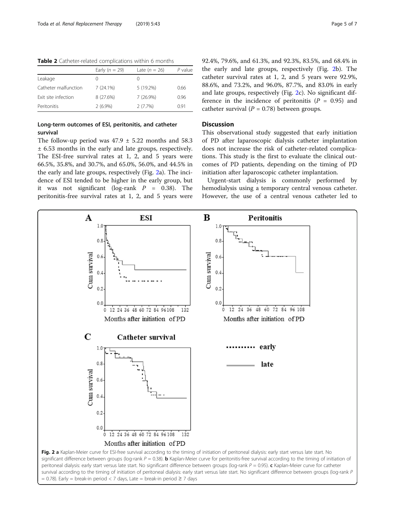| Early $(n = 29)$ | Late $(n = 26)$  | P value |
|------------------|------------------|---------|
|                  | $\left( \right)$ |         |
| 7(24.1%)         | $5(19.2\%)$      | 0.66    |
| 8 (27.6%)        | $7(26.9\%)$      | 0.96    |
| $2(6.9\%)$       | 2(7.7%)          | 0.91    |
|                  |                  |         |

<span id="page-4-0"></span>Table 2 Catheter-related complications within 6 months

# Long-term outcomes of ESI, peritonitis, and catheter survival

The follow-up period was  $47.9 \pm 5.22$  months and 58.3 ± 6.53 months in the early and late groups, respectively. The ESI-free survival rates at 1, 2, and 5 years were 66.5%, 35.8%, and 30.7%, and 65.0%, 56.0%, and 44.5% in the early and late groups, respectively (Fig. 2a). The incidence of ESI tended to be higher in the early group, but it was not significant (log-rank  $P = 0.38$ ). The peritonitis-free survival rates at 1, 2, and 5 years were 92.4%, 79.6%, and 61.3%, and 92.3%, 83.5%, and 68.4% in the early and late groups, respectively (Fig. 2b). The catheter survival rates at 1, 2, and 5 years were 92.9%, 88.6%, and 73.2%, and 96.0%, 87.7%, and 83.0% in early and late groups, respectively (Fig. 2c). No significant difference in the incidence of peritonitis  $(P = 0.95)$  and catheter survival ( $P = 0.78$ ) between groups.

# Discussion

This observational study suggested that early initiation of PD after laparoscopic dialysis catheter implantation does not increase the risk of catheter-related complications. This study is the first to evaluate the clinical outcomes of PD patients, depending on the timing of PD initiation after laparoscopic catheter implantation.

Urgent-start dialysis is commonly performed by hemodialysis using a temporary central venous catheter. However, the use of a central venous catheter led to

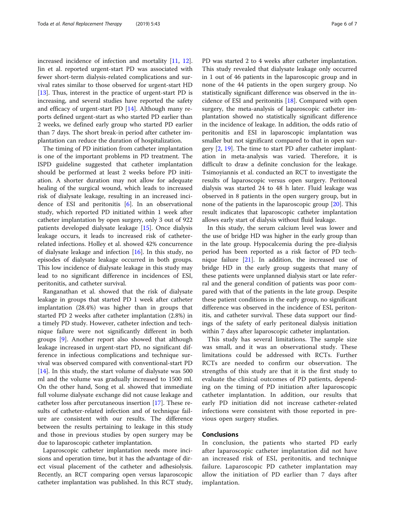increased incidence of infection and mortality [\[11,](#page-6-0) [12](#page-6-0)]. Jin et al. reported urgent-start PD was associated with fewer short-term dialysis-related complications and survival rates similar to those observed for urgent-start HD [[13\]](#page-6-0). Thus, interest in the practice of urgent-start PD is increasing, and several studies have reported the safety and efficacy of urgent-start PD [\[14\]](#page-6-0). Although many reports defined urgent-start as who started PD earlier than 2 weeks, we defined early group who started PD earlier than 7 days. The short break-in period after catheter implantation can reduce the duration of hospitalization.

The timing of PD initiation from catheter implantation is one of the important problems in PD treatment. The ISPD guideline suggested that catheter implantation should be performed at least 2 weeks before PD initiation. A shorter duration may not allow for adequate healing of the surgical wound, which leads to increased risk of dialysate leakage, resulting in an increased incidence of ESI and peritonitis [[6](#page-6-0)]. In an observational study, which reported PD initiated within 1 week after catheter implantation by open surgery, only 3 out of 922 patients developed dialysate leakage [\[15](#page-6-0)]. Once dialysis leakage occurs, it leads to increased risk of catheterrelated infections. Holley et al. showed 42% concurrence of dialysate leakage and infection  $[16]$  $[16]$ . In this study, no episodes of dialysate leakage occurred in both groups. This low incidence of dialysate leakage in this study may lead to no significant difference in incidences of ESI, peritonitis, and catheter survival.

Ranganathan et al. showed that the risk of dialysate leakage in groups that started PD 1 week after catheter implantation (28.4%) was higher than in groups that started PD 2 weeks after catheter implantation (2.8%) in a timely PD study. However, catheter infection and technique failure were not significantly different in both groups [[9\]](#page-6-0). Another report also showed that although leakage increased in urgent-start PD, no significant difference in infectious complications and technique survival was observed compared with conventional-start PD [[14\]](#page-6-0). In this study, the start volume of dialysate was 500 ml and the volume was gradually increased to 1500 ml. On the other hand, Song et al. showed that immediate full volume dialysate exchange did not cause leakage and catheter loss after percutaneous insertion [[17\]](#page-6-0). These results of catheter-related infection and of technique failure are consistent with our results. The difference between the results pertaining to leakage in this study and those in previous studies by open surgery may be due to laparoscopic catheter implantation.

Laparoscopic catheter implantation needs more incisions and operation time, but it has the advantage of direct visual placement of the catheter and adhesiolysis. Recently, an RCT comparing open versus laparoscopic catheter implantation was published. In this RCT study,

PD was started 2 to 4 weeks after catheter implantation. This study revealed that dialysate leakage only occurred in 1 out of 46 patients in the laparoscopic group and in none of the 44 patients in the open surgery group. No statistically significant difference was observed in the incidence of ESI and peritonitis [[18\]](#page-6-0). Compared with open surgery, the meta-analysis of laparoscopic catheter implantation showed no statistically significant difference in the incidence of leakage. In addition, the odds ratio of peritonitis and ESI in laparoscopic implantation was smaller but not significant compared to that in open surgery [\[2](#page-6-0), [19](#page-6-0)]. The time to start PD after catheter implantation in meta-analysis was varied. Therefore, it is difficult to draw a definite conclusion for the leakage. Tsimoyiannis et al. conducted an RCT to investigate the results of laparoscopic versus open surgery. Peritoneal dialysis was started 24 to 48 h later. Fluid leakage was observed in 8 patients in the open surgery group, but in none of the patients in the laparoscopic group [\[20\]](#page-6-0). This result indicates that laparoscopic catheter implantation allows early start of dialysis without fluid leakage.

In this study, the serum calcium level was lower and the use of bridge HD was higher in the early group than in the late group. Hypocalcemia during the pre-dialysis period has been reported as a risk factor of PD technique failure [\[21\]](#page-6-0). In addition, the increased use of bridge HD in the early group suggests that many of these patients were unplanned dialysis start or late referral and the general condition of patients was poor compared with that of the patients in the late group. Despite these patient conditions in the early group, no significant difference was observed in the incidence of ESI, peritonitis, and catheter survival. These data support our findings of the safety of early peritoneal dialysis initiation within 7 days after laparoscopic catheter implantation.

This study has several limitations. The sample size was small, and it was an observational study. These limitations could be addressed with RCTs. Further RCTs are needed to confirm our observation. The strengths of this study are that it is the first study to evaluate the clinical outcomes of PD patients, depending on the timing of PD initiation after laparoscopic catheter implantation. In addition, our results that early PD initiation did not increase catheter-related infections were consistent with those reported in previous open surgery studies.

# Conclusions

In conclusion, the patients who started PD early after laparoscopic catheter implantation did not have an increased risk of ESI, peritonitis, and technique failure. Laparoscopic PD catheter implantation may allow the initiation of PD earlier than 7 days after implantation.